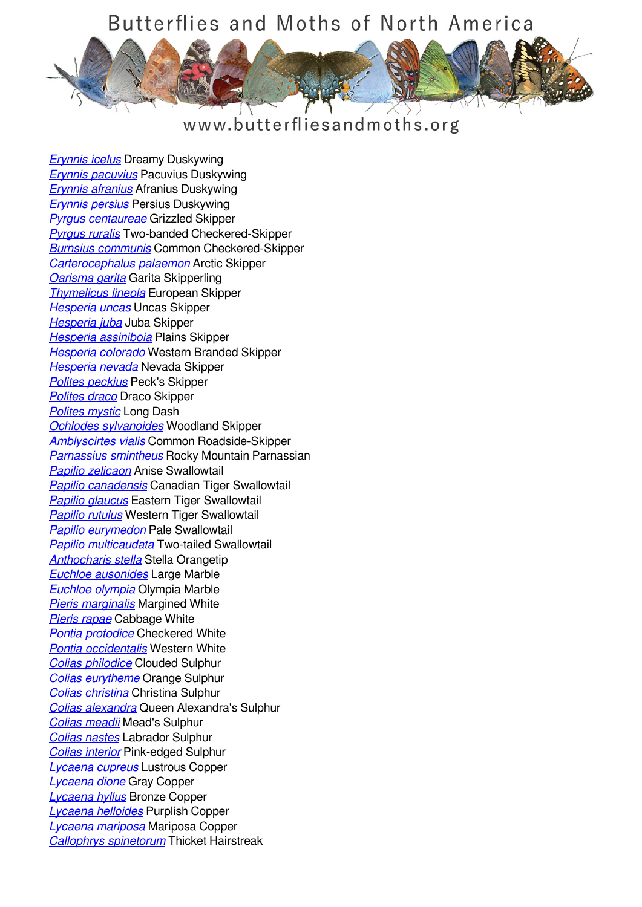## Butterflies and Moths of North America



www.butterfliesandmoths.org

*[Erynnis icelus](/species/Erynnis-icelus)* Dreamy Duskywing *[Erynnis pacuvius](/species/Erynnis-pacuvius)* Pacuvius Duskywing *[Erynnis afranius](/species/Erynnis-afranius)* Afranius Duskywing *[Erynnis persius](/species/Erynnis-persius)* Persius Duskywing *[Pyrgus centaureae](/species/Pyrgus-centaureae)* Grizzled Skipper *[Pyrgus ruralis](/species/Pyrgus-ruralis)* Two-banded Checkered-Skipper *[Burnsius communis](/species/Pyrgus-communis)* Common Checkered-Skipper *[Carterocephalus palaemon](/species/Carterocephalus-palaemon)* Arctic Skipper *[Oarisma garita](/species/Oarisma-garita)* Garita Skipperling *[Thymelicus lineola](/species/Thymelicus-lineola)* European Skipper *[Hesperia uncas](/species/Hesperia-uncas)* Uncas Skipper *[Hesperia juba](/species/Hesperia-juba)* Juba Skipper *[Hesperia assiniboia](/species/Hesperia-assiniboia)* Plains Skipper *[Hesperia colorado](/species/Hesperia-colorado)* Western Branded Skipper *[Hesperia nevada](/species/Hesperia-nevada)* Nevada Skipper *[Polites peckius](/species/Polites-peckius)* Peck's Skipper *[Polites draco](/species/Polites-draco)* Draco Skipper *[Polites mystic](/species/Polites-mystic)* Long Dash *[Ochlodes sylvanoides](/species/Ochlodes-sylvanoides)* Woodland Skipper *[Amblyscirtes vialis](/species/Amblyscirtes-vialis)* Common Roadside-Skipper *[Parnassius smintheus](/species/Parnassius-smintheus)* Rocky Mountain Parnassian *[Papilio zelicaon](/species/Papilio-zelicaon)* Anise Swallowtail *[Papilio canadensis](/species/Papilio-canadensis)* Canadian Tiger Swallowtail *[Papilio glaucus](/species/Papilio-glaucus)* Eastern Tiger Swallowtail *[Papilio rutulus](/species/Papilio-rutulus)* Western Tiger Swallowtail *[Papilio eurymedon](/species/Papilio-eurymedon)* Pale Swallowtail *[Papilio multicaudata](/species/Papilio-multicaudata)* Two-tailed Swallowtail *[Anthocharis stella](/species/Anthocharis-stella)* Stella Orangetip *[Euchloe ausonides](/species/Euchloe-ausonides)* Large Marble *[Euchloe olympia](/species/Euchloe-olympia)* Olympia Marble *[Pieris marginalis](/species/Pieris-marginalis)* Margined White *[Pieris rapae](/species/Pieris-rapae)* Cabbage White *[Pontia protodice](/species/Pontia-protodice)* Checkered White *[Pontia occidentalis](/species/Pontia-occidentalis)* Western White *[Colias philodice](/species/Colias-philodice)* Clouded Sulphur *[Colias eurytheme](/species/Colias-eurytheme)* Orange Sulphur *[Colias christina](/species/Colias-christina)* Christina Sulphur *[Colias alexandra](/species/Colias-alexandra)* Queen Alexandra's Sulphur *[Colias meadii](/species/Colias-meadii)* Mead's Sulphur *[Colias nastes](/species/Colias-nastes)* Labrador Sulphur *[Colias interior](/species/Colias-interior)* Pink-edged Sulphur *[Lycaena cupreus](/species/Lycaena-cupreus)* Lustrous Copper *[Lycaena dione](/species/Lycaena-dione)* Gray Copper *[Lycaena hyllus](/species/Lycaena-hyllus)* Bronze Copper *[Lycaena helloides](/species/Lycaena-helloides)* Purplish Copper *[Lycaena mariposa](/species/Lycaena-mariposa)* Mariposa Copper *[Callophrys spinetorum](/species/Callophrys-spinetorum)* Thicket Hairstreak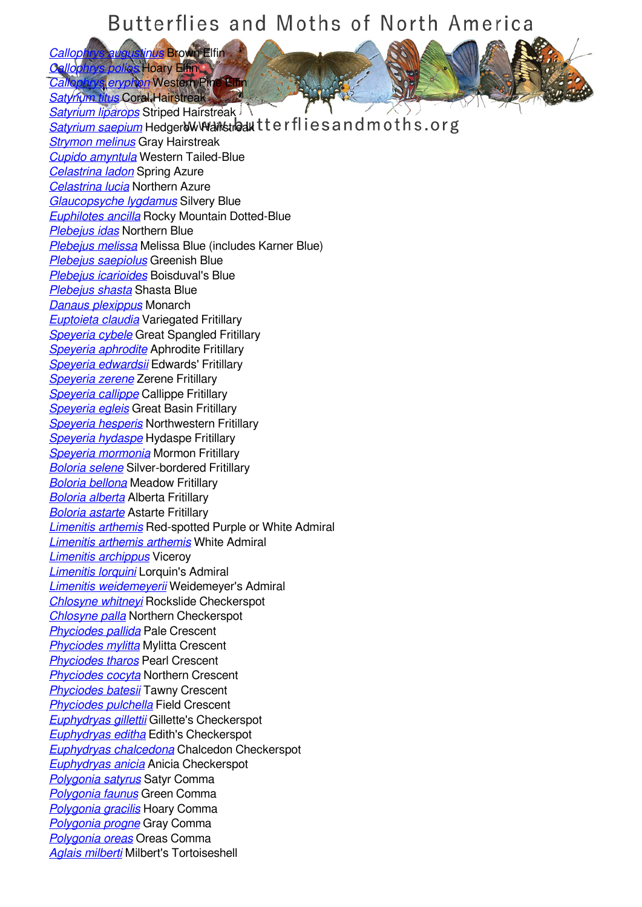## Butterflies and Moths of North America

*[Callophrys augustinus](/species/Callophrys-augustinus)* Brown Elfin *[Callophrys polios](/species/Callophrys-polios)* Hoary Elfin *[Callophrys eryphon](/species/Callophrys-eryphon)* Western Pine Elfin

*[Satyrium titus](/species/Satyrium-titus)* Coral Hairstreak

*[Satyrium liparops](/species/Satyrium-liparops)* Striped Hairstreak **[Satyrium saepium](/species/Satyrium-saepium)** Hedger W Wantstreakter flies and moths.org *[Strymon melinus](/species/Strymon-melinus)* Gray Hairstreak *[Cupido amyntula](/species/Cupido-amyntula)* Western Tailed-Blue *[Celastrina ladon](/species/Celastrina-ladon)* Spring Azure *[Celastrina lucia](/species/Celastrina-lucia)* Northern Azure *[Glaucopsyche lygdamus](/species/Glaucopsyche-lygdamus)* Silvery Blue *[Euphilotes ancilla](/species/Euphilotes-ancilla)* Rocky Mountain Dotted-Blue *[Plebejus idas](/species/Plebejus-idas)* Northern Blue *[Plebejus melissa](/species/Plebejus-melissa)* Melissa Blue (includes Karner Blue) *[Plebejus saepiolus](/species/Plebejus-saepiolus)* Greenish Blue *[Plebejus icarioides](/species/Plebejus-icarioides)* Boisduval's Blue *[Plebejus shasta](/species/Plebejus-shasta)* Shasta Blue *[Danaus plexippus](/species/Danaus-plexippus)* Monarch *[Euptoieta claudia](/species/Euptoieta-claudia)* Variegated Fritillary *[Speyeria cybele](/species/Speyeria-cybele)* Great Spangled Fritillary *[Speyeria aphrodite](/species/Speyeria-aphrodite)* Aphrodite Fritillary *[Speyeria edwardsii](/species/Speyeria-edwardsii)* Edwards' Fritillary *[Speyeria zerene](/species/Speyeria-zerene)* Zerene Fritillary *[Speyeria callippe](/species/Speyeria-callippe)* Callippe Fritillary *[Speyeria egleis](/species/Speyeria-egleis)* Great Basin Fritillary *[Speyeria hesperis](/species/Speyeria-hesperis)* Northwestern Fritillary *[Speyeria hydaspe](/species/Speyeria-hydaspe)* Hydaspe Fritillary *[Speyeria mormonia](/species/Speyeria-mormonia)* Mormon Fritillary *[Boloria selene](/species/Boloria-selene)* Silver-bordered Fritillary *[Boloria bellona](/species/Boloria-bellona)* Meadow Fritillary *[Boloria alberta](/species/Boloria-alberta)* Alberta Fritillary *[Boloria astarte](/species/Boloria-astarte)* Astarte Fritillary *[Limenitis arthemis](/species/Limenitis-arthemis)* Red-spotted Purple or White Admiral *[Limenitis arthemis arthemis](/species/Limenitis-arthemis-arthemis)* White Admiral *[Limenitis archippus](/species/Limenitis-archippus)* Viceroy *[Limenitis lorquini](/species/Limenitis-lorquini)* Lorquin's Admiral *[Limenitis weidemeyerii](/species/Limenitis-weidemeyerii)* Weidemeyer's Admiral *[Chlosyne whitneyi](/species/Chlosyne-whitneyi)* Rockslide Checkerspot *[Chlosyne palla](/species/Chlosyne-palla)* Northern Checkerspot *[Phyciodes pallida](/species/Phyciodes-pallida)* Pale Crescent *[Phyciodes mylitta](/species/Phyciodes-mylitta)* Mylitta Crescent *[Phyciodes tharos](/species/Phyciodes-tharos)* Pearl Crescent *[Phyciodes cocyta](/species/Phyciodes-cocyta)* Northern Crescent *[Phyciodes batesii](/species/Phyciodes-batesii)* Tawny Crescent *[Phyciodes pulchella](/species/Phyciodes-pulchella)* Field Crescent *[Euphydryas gillettii](/species/Euphydryas-gillettii)* Gillette's Checkerspot *[Euphydryas editha](/species/Euphydryas-editha)* Edith's Checkerspot *[Euphydryas chalcedona](/species/Euphydryas-chalcedona)* Chalcedon Checkerspot *[Euphydryas anicia](/species/Euphydryas-anicia)* Anicia Checkerspot *[Polygonia satyrus](/species/Polygonia-satyrus)* Satyr Comma *[Polygonia faunus](/species/Polygonia-faunus)* Green Comma *[Polygonia gracilis](/species/Polygonia-gracilis)* Hoary Comma *[Polygonia progne](/species/Polygonia-progne)* Gray Comma *[Polygonia oreas](/species/Polygonia-oreas)* Oreas Comma *[Aglais milberti](/species/Aglais-milberti)* Milbert's Tortoiseshell